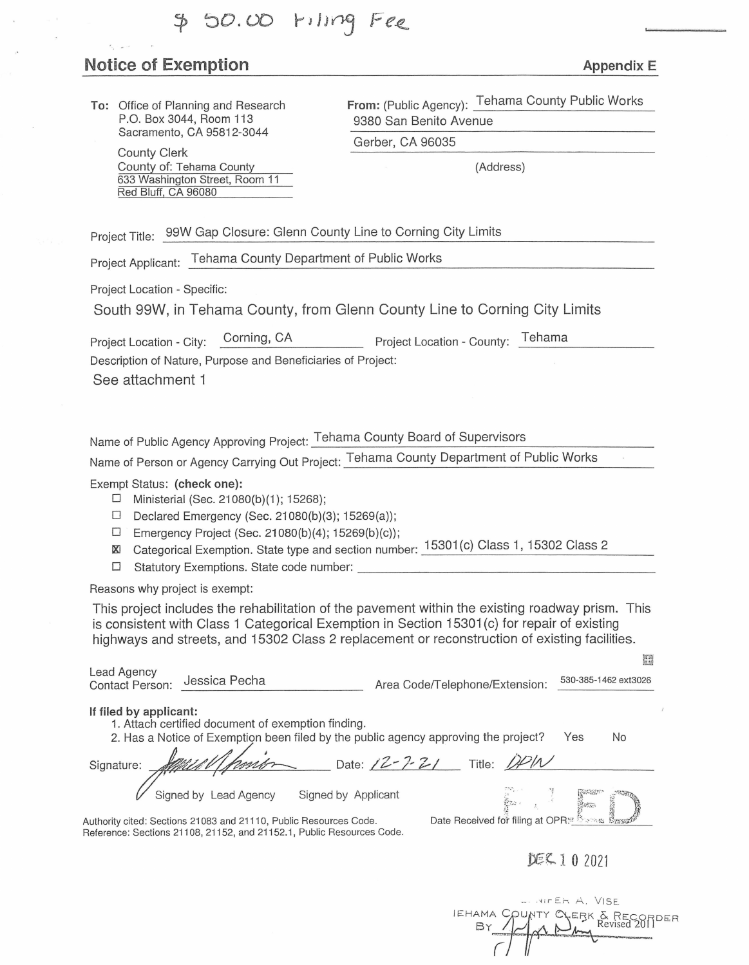# 50.00 Filing Fee

# **Notice of Exemption Appendix E Appendix E**

**To:** Office of Planning and Research P.O. Box 3044, Room 113 Sacramento, CA 95812-3044

> County Clerk County of: Tehama County 633 Washington Street, Room 11 Red Bluff, CA 96080

**From:** (Public Agency): Tehama County Public Works 9380 San Benito Avenue

Gerber, CA 96035

(Address)

Project Title: 99W Gap Closure: Glenn County Line to Corning City Limits

Project Applicant: Tehama County Department of Public Works

Project Location - Specific:

South 99W, in Tehama County, from Glenn County Line to Corning City Limits

Project Location - City: Corning, CA \_\_\_\_\_\_\_ Project Location - County: Tehama

Description of Nature, Purpose and Beneficiaries of Project:

See attachment 1

Name of Public Agency Approving Project: Tehama County Board of Supervisors

Name of Person or Agency carrying out Project: Tehama County Department of Public Works

Exempt Status: **(check one):** 

- $\Box$  Ministerial (Sec. 21080(b)(1); 15268);
- D Declared Emergency (Sec. 21080(b)(3); 15269(a));
- □ Emergency Project (Sec. 21080(b)(4); 15269(b)(c));
- IX! Categorical Exemption. State type and section number: 15301 (c) Class 1, 15302 Class 2 □ Statutory Exemptions. State code number: \_\_\_\_\_\_\_\_\_\_\_\_\_\_\_\_\_\_ \_
- 

Reasons why project is exempt:

This project includes the rehabilitation of the pavement within the existing roadway prism. This is consistent with Class 1 Categorical Exemption in Section 15301 (c) for repair of existing highways and streets, and 15302 Class 2 replacement or reconstruction of existing facilities.

| Lead Agency<br>Jessica Pecha<br><b>Contact Person:</b>                                                                                                                           | 530-385-1462 ext3026<br>Area Code/Telephone/Extension: |  |  |  |
|----------------------------------------------------------------------------------------------------------------------------------------------------------------------------------|--------------------------------------------------------|--|--|--|
| If filed by applicant:<br>1. Attach certified document of exemption finding.<br>2. Has a Notice of Exemption been filed by the public agency approving the project?<br>Yes<br>No |                                                        |  |  |  |
| Signature:                                                                                                                                                                       | Date: $/2 - 7 - 2$<br>Title: DPIN                      |  |  |  |
| Signed by Lead Agency<br>Signed by Applicant                                                                                                                                     |                                                        |  |  |  |
| Authority cited: Sections 21083 and 21110, Public Resources Code.                                                                                                                | Date Received for filing at OPR: Expansion             |  |  |  |

Authority cited: Sections 21083 and 21110, Public Resources Code. Reference: Sections 21108, 21152, and 21152.1, Public Resources Code.

## *~ i* 1 0 <sup>2021</sup>

顧

|  | - WIFER A. VISE |                               |  |
|--|-----------------|-------------------------------|--|
|  |                 | EHAMA COUNTY CYERK & RECORDER |  |
|  |                 |                               |  |
|  |                 |                               |  |
|  |                 |                               |  |